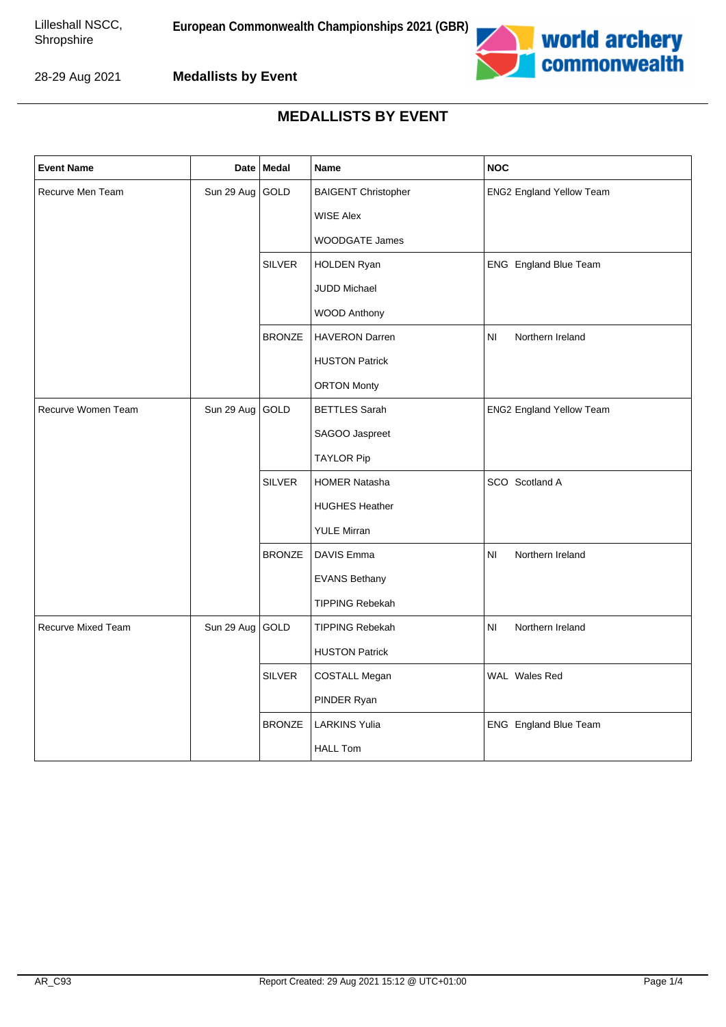

**Medallists by Event**

| <b>Event Name</b>         | Date            | Medal         | Name                       | <b>NOC</b>                         |
|---------------------------|-----------------|---------------|----------------------------|------------------------------------|
| Recurve Men Team          | Sun 29 Aug      | GOLD          | <b>BAIGENT Christopher</b> | <b>ENG2 England Yellow Team</b>    |
|                           |                 |               | <b>WISE Alex</b>           |                                    |
|                           |                 |               | WOODGATE James             |                                    |
|                           |                 | <b>SILVER</b> | <b>HOLDEN Ryan</b>         | ENG England Blue Team              |
|                           |                 |               | JUDD Michael               |                                    |
|                           |                 |               | WOOD Anthony               |                                    |
|                           |                 | <b>BRONZE</b> | <b>HAVERON Darren</b>      | N <sub>l</sub><br>Northern Ireland |
|                           |                 |               | <b>HUSTON Patrick</b>      |                                    |
|                           |                 |               | <b>ORTON Monty</b>         |                                    |
| Recurve Women Team        | Sun 29 Aug GOLD |               | <b>BETTLES Sarah</b>       | <b>ENG2 England Yellow Team</b>    |
|                           |                 |               | SAGOO Jaspreet             |                                    |
|                           |                 |               | <b>TAYLOR Pip</b>          |                                    |
|                           |                 | <b>SILVER</b> | <b>HOMER Natasha</b>       | SCO Scotland A                     |
|                           |                 |               | <b>HUGHES Heather</b>      |                                    |
|                           |                 |               | <b>YULE Mirran</b>         |                                    |
|                           |                 | <b>BRONZE</b> | DAVIS Emma                 | NI<br>Northern Ireland             |
|                           |                 |               | <b>EVANS Bethany</b>       |                                    |
|                           |                 |               | <b>TIPPING Rebekah</b>     |                                    |
| <b>Recurve Mixed Team</b> | Sun 29 Aug GOLD |               | <b>TIPPING Rebekah</b>     | NI<br>Northern Ireland             |
|                           |                 |               | <b>HUSTON Patrick</b>      |                                    |
|                           |                 | <b>SILVER</b> | COSTALL Megan              | WAL Wales Red                      |
|                           |                 |               | PINDER Ryan                |                                    |
|                           |                 | <b>BRONZE</b> | <b>LARKINS Yulia</b>       | ENG England Blue Team              |
|                           |                 |               | <b>HALL Tom</b>            |                                    |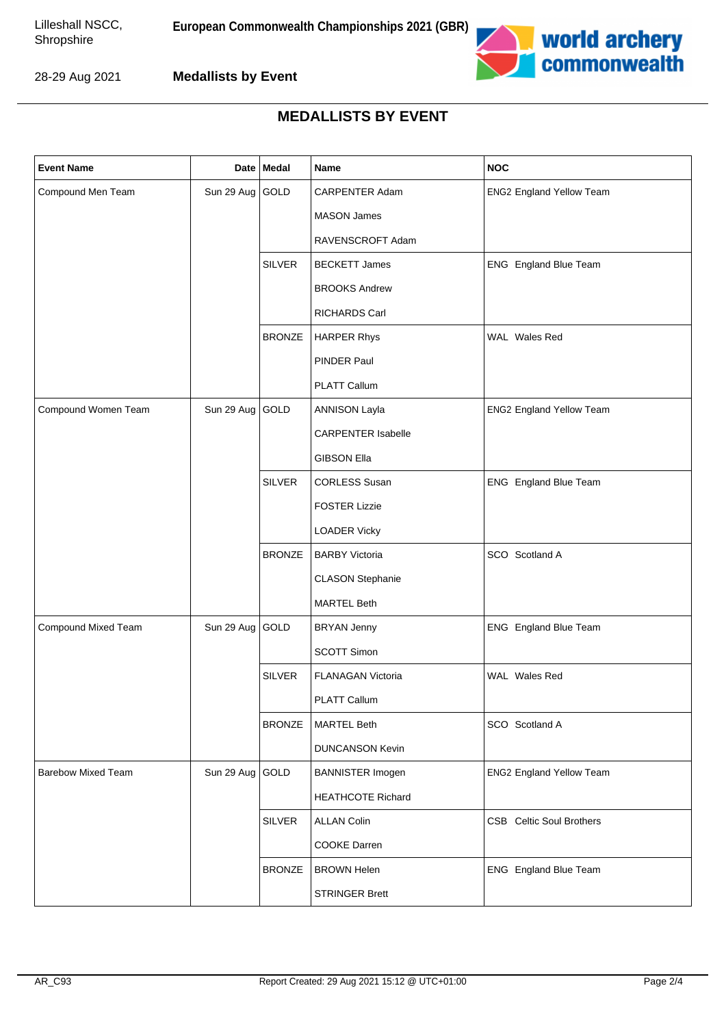

**Medallists by Event**

| <b>Event Name</b>         |                 | Date Medal    | Name                      | <b>NOC</b>                      |
|---------------------------|-----------------|---------------|---------------------------|---------------------------------|
| Compound Men Team         | Sun 29 Aug GOLD |               | CARPENTER Adam            | ENG2 England Yellow Team        |
|                           |                 |               | <b>MASON James</b>        |                                 |
|                           |                 |               | RAVENSCROFT Adam          |                                 |
|                           |                 | <b>SILVER</b> | <b>BECKETT James</b>      | ENG England Blue Team           |
|                           |                 |               | <b>BROOKS Andrew</b>      |                                 |
|                           |                 |               | <b>RICHARDS Carl</b>      |                                 |
|                           |                 | <b>BRONZE</b> | <b>HARPER Rhys</b>        | WAL Wales Red                   |
|                           |                 |               | PINDER Paul               |                                 |
|                           |                 |               | PLATT Callum              |                                 |
| Compound Women Team       | Sun 29 Aug GOLD |               | <b>ANNISON Layla</b>      | <b>ENG2 England Yellow Team</b> |
|                           |                 |               | <b>CARPENTER Isabelle</b> |                                 |
|                           |                 |               | <b>GIBSON Ella</b>        |                                 |
|                           |                 | <b>SILVER</b> | <b>CORLESS Susan</b>      | ENG England Blue Team           |
|                           |                 |               | <b>FOSTER Lizzie</b>      |                                 |
|                           |                 |               | <b>LOADER Vicky</b>       |                                 |
|                           |                 | <b>BRONZE</b> | <b>BARBY Victoria</b>     | SCO Scotland A                  |
|                           |                 |               | <b>CLASON Stephanie</b>   |                                 |
|                           |                 |               | <b>MARTEL Beth</b>        |                                 |
| Compound Mixed Team       | Sun 29 Aug GOLD |               | <b>BRYAN Jenny</b>        | ENG England Blue Team           |
|                           |                 |               | SCOTT Simon               |                                 |
|                           |                 | <b>SILVER</b> | FLANAGAN Victoria         | WAL Wales Red                   |
|                           |                 |               | PLATT Callum              |                                 |
|                           |                 | <b>BRONZE</b> | <b>MARTEL Beth</b>        | SCO Scotland A                  |
|                           |                 |               | <b>DUNCANSON Kevin</b>    |                                 |
| <b>Barebow Mixed Team</b> | Sun 29 Aug GOLD |               | <b>BANNISTER Imogen</b>   | ENG2 England Yellow Team        |
|                           |                 |               | <b>HEATHCOTE Richard</b>  |                                 |
|                           |                 | <b>SILVER</b> | <b>ALLAN Colin</b>        | <b>CSB</b> Celtic Soul Brothers |
|                           |                 |               | COOKE Darren              |                                 |
|                           |                 | <b>BRONZE</b> | <b>BROWN Helen</b>        | ENG England Blue Team           |
|                           |                 |               | <b>STRINGER Brett</b>     |                                 |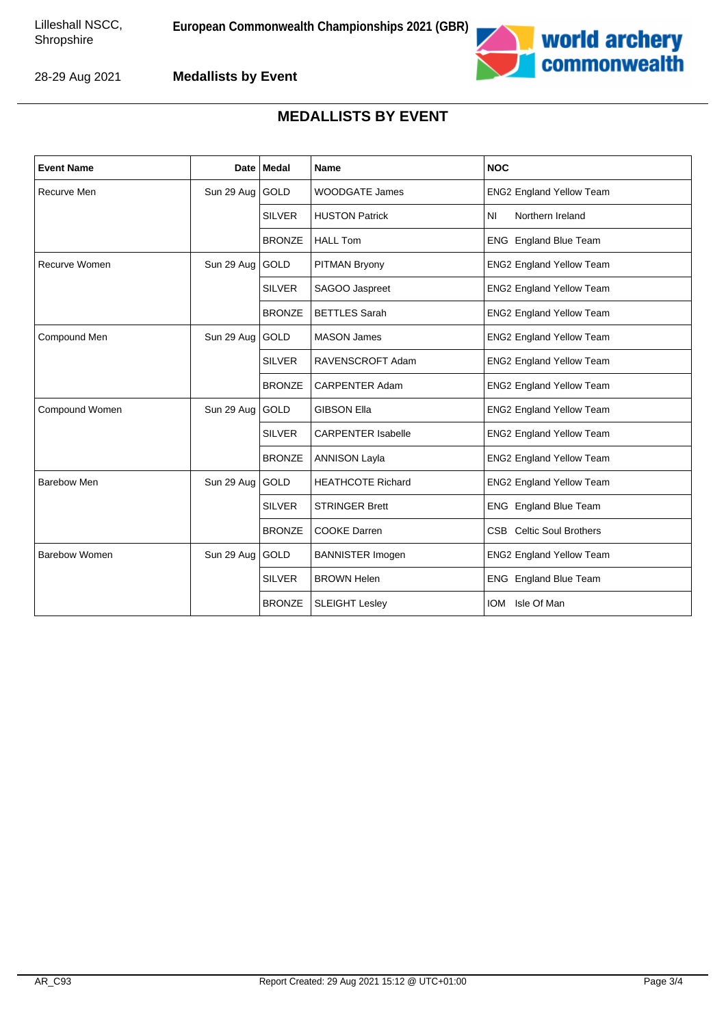

**Medallists by Event**

| <b>Event Name</b>    |                   | Date   Medal  | <b>Name</b>               | <b>NOC</b>                      |
|----------------------|-------------------|---------------|---------------------------|---------------------------------|
| <b>Recurve Men</b>   | Sun 29 Aug GOLD   |               | <b>WOODGATE James</b>     | <b>ENG2 England Yellow Team</b> |
|                      |                   | <b>SILVER</b> | <b>HUSTON Patrick</b>     | <b>NI</b><br>Northern Ireland   |
|                      |                   | <b>BRONZE</b> | <b>HALL Tom</b>           | ENG England Blue Team           |
| Recurve Women        | Sun 29 Aug   GOLD |               | PITMAN Bryony             | <b>ENG2 England Yellow Team</b> |
|                      |                   | <b>SILVER</b> | SAGOO Jaspreet            | <b>ENG2 England Yellow Team</b> |
|                      |                   | <b>BRONZE</b> | <b>BETTLES</b> Sarah      | <b>ENG2 England Yellow Team</b> |
| Compound Men         | Sun 29 Aug        | GOLD          | <b>MASON James</b>        | <b>ENG2 England Yellow Team</b> |
|                      |                   | <b>SILVER</b> | RAVENSCROFT Adam          | <b>ENG2 England Yellow Team</b> |
|                      |                   | <b>BRONZE</b> | <b>CARPENTER Adam</b>     | <b>ENG2 England Yellow Team</b> |
| Compound Women       | Sun 29 Aug        | GOLD          | <b>GIBSON Ella</b>        | <b>ENG2 England Yellow Team</b> |
|                      |                   | <b>SILVER</b> | <b>CARPENTER Isabelle</b> | <b>ENG2 England Yellow Team</b> |
|                      |                   | <b>BRONZE</b> | <b>ANNISON Layla</b>      | <b>ENG2 England Yellow Team</b> |
| Barebow Men          | Sun 29 Aug   GOLD |               | <b>HEATHCOTE Richard</b>  | <b>ENG2 England Yellow Team</b> |
|                      |                   | <b>SILVER</b> | <b>STRINGER Brett</b>     | ENG England Blue Team           |
|                      |                   | <b>BRONZE</b> | <b>COOKE Darren</b>       | <b>CSB</b> Celtic Soul Brothers |
| <b>Barebow Women</b> | Sun 29 Aug GOLD   |               | <b>BANNISTER Imogen</b>   | <b>ENG2 England Yellow Team</b> |
|                      |                   | <b>SILVER</b> | <b>BROWN Helen</b>        | ENG England Blue Team           |
|                      |                   | <b>BRONZE</b> | <b>SLEIGHT Lesley</b>     | Isle Of Man<br><b>IOM</b>       |